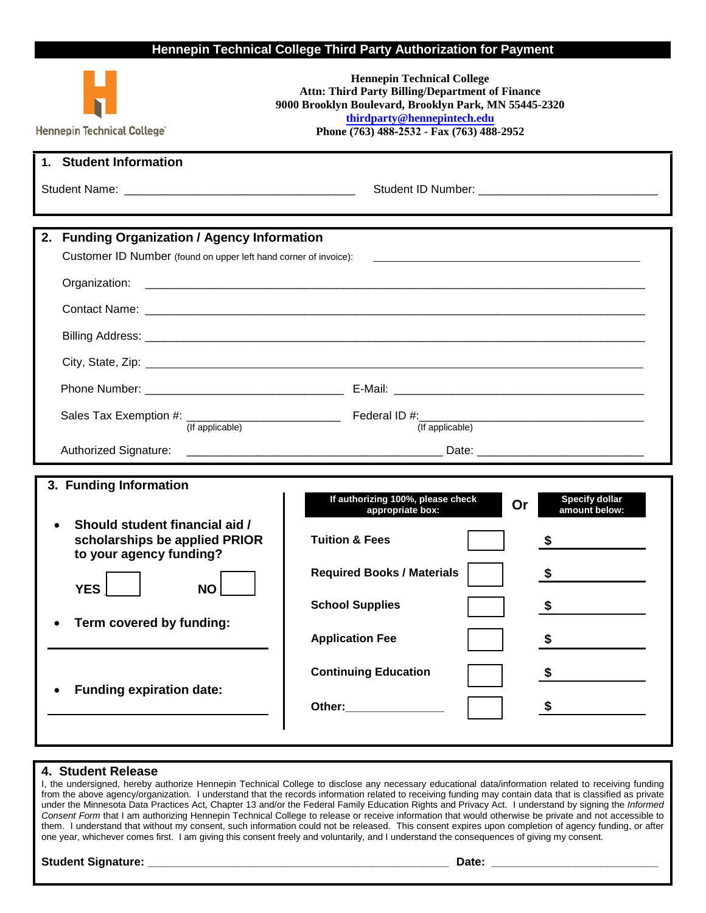## **Hennepin Technical College Third Party Authorization for Payment**

| Hennepin Technical College"                                                                                                                                                                                    | <b>Hennepin Technical College</b><br><b>Attn: Third Party Billing/Department of Finance</b><br>9000 Brooklyn Boulevard, Brooklyn Park, MN 55445-2320<br>thirdparty@hennepintech.edu<br>Phone (763) 488-2532 - Fax (763) 488-2952                                                                                                                                                                                                                                                                                          |
|----------------------------------------------------------------------------------------------------------------------------------------------------------------------------------------------------------------|---------------------------------------------------------------------------------------------------------------------------------------------------------------------------------------------------------------------------------------------------------------------------------------------------------------------------------------------------------------------------------------------------------------------------------------------------------------------------------------------------------------------------|
| 1. Student Information                                                                                                                                                                                         |                                                                                                                                                                                                                                                                                                                                                                                                                                                                                                                           |
|                                                                                                                                                                                                                |                                                                                                                                                                                                                                                                                                                                                                                                                                                                                                                           |
| 2. Funding Organization / Agency Information<br>Customer ID Number (found on upper left hand corner of invoice):<br>(If applicable)                                                                            | (If applicable)                                                                                                                                                                                                                                                                                                                                                                                                                                                                                                           |
| 3. Funding Information<br>Should student financial aid /<br>scholarships be applied PRIOR<br>to your agency funding?<br><b>YES</b><br><b>NO</b><br>Term covered by funding:<br><b>Funding expiration date:</b> | If authorizing 100%, please check<br><b>Specify dollar</b><br>Or<br>amount below:<br>appropriate box:<br><b>Tuition &amp; Fees</b><br><b>Required Books / Materials</b><br>S<br><b>School Supplies</b><br>\$<br><b>Application Fee</b><br>\$<br><b>Continuing Education</b><br>\$<br>\$<br>Other: and the control of the control of the control of the control of the control of the control of the control of the control of the control of the control of the control of the control of the control of the control of t |

## **4. Student Release**

I, the undersigned, hereby authorize Hennepin Technical College to disclose any necessary educational data/information related to receiving funding from the above agency/organization. I understand that the records information related to receiving funding may contain data that is classified as private under the Minnesota Data Practices Act, Chapter 13 and/or the Federal Family Education Rights and Privacy Act. I understand by signing the *Informed Consent Form* that I am authorizing Hennepin Technical College to release or receive information that would otherwise be private and not accessible to them. I understand that without my consent, such information could not be released. This consent expires upon completion of agency funding, or after one year, whichever comes first. I am giving this consent freely and voluntarily, and I understand the consequences of giving my consent.

## **Student Signature: \_\_\_\_\_\_\_\_\_\_\_\_\_\_\_\_\_\_\_\_\_\_\_\_\_\_\_\_\_\_\_\_\_\_\_\_\_\_\_\_\_\_\_\_\_\_\_ Date: \_\_\_\_\_\_\_\_\_\_\_\_\_\_\_\_\_\_\_\_\_\_\_\_\_\_**